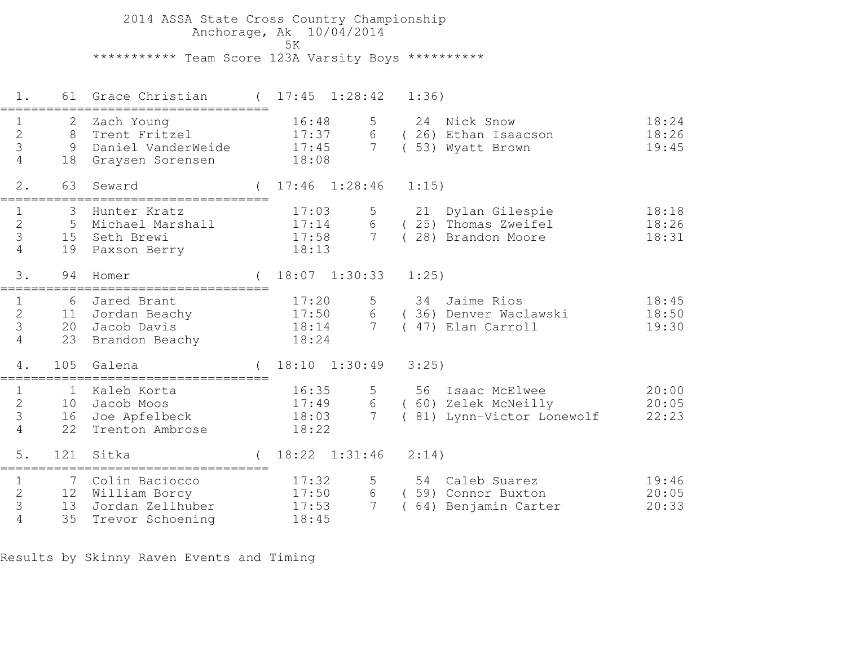2014 ASSA State Cross Country Championship Anchorage, Ak 10/04/2014ta di kacamatan ing Kabupatèn Kabupatèn Kabupatèn Kabupatèn Kabupatèn Kabupatèn Kabupatèn Kabupatèn K \*\*\*\*\*\*\*\*\*\*\* Team Score 123A Varsity Boys \*\*\*\*\*\*\*\*\*\*

 1. 61 Grace Christian ( 17:45 1:28:42 1:36)=================================== 1 2 Zach Young 16:48 5 24 Nick Snow 18:24 2 8 Trent Fritzel 17:37 6 ( 26) Ethan Isaacson 18:26 3 9 Daniel VanderWeide 17:45 7 ( 53) Wyatt Brown 19:45 4 18 Graysen Sorensen 18:08 2. 63 Seward ( 17:46 1:28:46 1:15)=================================== 1 3 Hunter Kratz 17:03 5 21 Dylan Gilespie 18:18 2 5 Michael Marshall 17:14 6 ( 25) Thomas Zweifel 18:26 3 15 Seth Brewi 17:58 7 ( 28) Brandon Moore 18:31 4 19 Paxson Berry 18:13 3. 94 Homer ( 18:07 1:30:33 1:25)=================================== 1 6 Jared Brant 17:20 5 34 Jaime Rios 18:45 2 11 Jordan Beachy 17:50 6 ( 36) Denver Waclawski 18:50 3 20 Jacob Davis 18:14 7 ( 47) Elan Carroll 19:30 4 23 Brandon Beachy 18:24 4. 105 Galena ( 18:10 1:30:49 3:25)=================================== 1 1 Kaleb Korta 16:35 5 56 Isaac McElwee 20:00 2 10 Jacob Moos 17:49 6 ( 60) Zelek McNeilly 20:05 3 16 Joe Apfelbeck 18:03 7 ( 81) Lynn-Victor Lonewolf 22:23 4 22 Trenton Ambrose 18:22 5. 121 Sitka ( 18:22 1:31:46 2:14)=================================== 1 7 Colin Baciocco 17:32 5 54 Caleb Suarez 19:462 12 William Borcy 17:50 6 ( 59) Connor Buxton 20:05 3 13 Jordan Zellhuber 17:53 7 ( 64) Benjamin Carter 20:33 4 35 Trevor Schoening 18:45

Results by Skinny Raven Events and Timing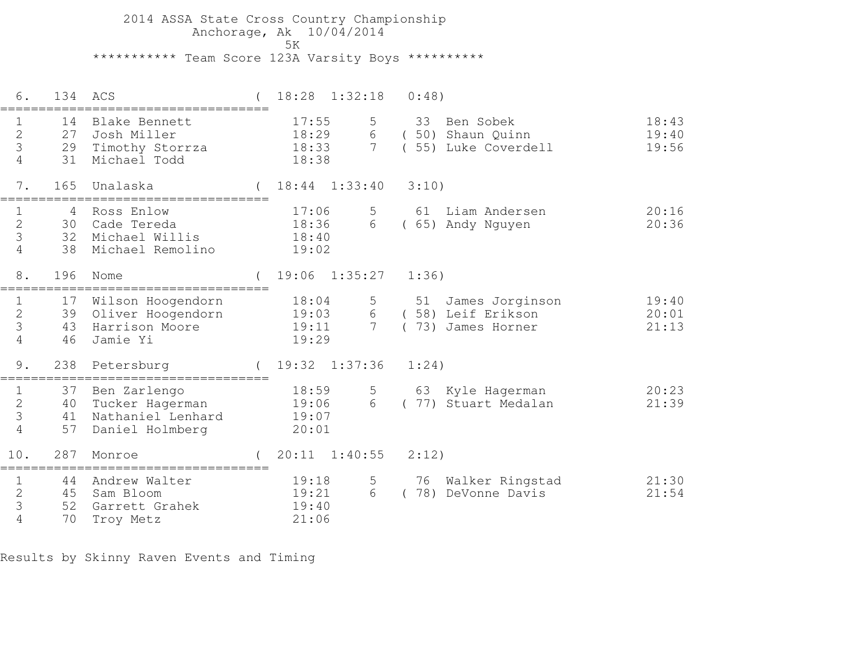2014 ASSA State Cross Country Championship Anchorage, Ak 10/04/2014 5K\*\*\*\*\*\*\*\*\*\*\* Team Score 123A Varsity Boys \*\*\*\*\*\*\*\*\*\*

| 6.                                                   | 134                  | ACS                                                                     | 18:28                            | 1:32:18                   | 0:48)                                                          |                         |
|------------------------------------------------------|----------------------|-------------------------------------------------------------------------|----------------------------------|---------------------------|----------------------------------------------------------------|-------------------------|
| $\mathbf{2}$<br>3<br>$\overline{4}$                  | 14<br>27<br>31       | Blake Bennett<br>Josh Miller<br>29 Timothy Storrza<br>Michael Todd      | 17:55<br>18:29<br>18:33<br>18:38 | 5<br>6<br>$7\overline{ }$ | 33<br>Ben Sobek<br>(50) Shaun Quinn<br>(55) Luke Coverdell     | 18:43<br>19:40<br>19:56 |
| 7.                                                   | 165                  | Unalaska                                                                | $18:44$ $1:33:40$                |                           | 3:10)                                                          |                         |
| $\mathbf 1$<br>$\mathbf{2}$<br>3<br>4                | 4<br>30<br>32<br>38  | Ross Enlow<br>Cade Tereda<br>Michael Willis<br>Michael Remolino         | 17:06<br>18:36<br>18:40<br>19:02 | 5<br>6                    | 61<br>Liam Andersen<br>(65) Andy Nguyen                        | 20:16<br>20:36          |
| 8.                                                   | 196                  | Nome                                                                    | 19:06                            | 1:35:27                   | 1:36)                                                          |                         |
| $\frac{1}{2}$<br>3<br>4                              | 17<br>39<br>43<br>46 | Wilson Hoogendorn<br>Oliver Hoogendorn<br>Harrison Moore<br>Jamie Yi    | 18:04<br>19:03<br>19:11<br>19:29 | 5<br>6<br>$7\overline{ }$ | 51<br>James Jorginson<br>(58) Leif Erikson<br>73) James Horner | 19:40<br>20:01<br>21:13 |
| 9.                                                   | 238                  | Petersburg<br>==================                                        | 19:32 1:37:36                    |                           | 1:24)                                                          |                         |
| 1<br>$\mathbf{2}$<br>3<br>$\overline{4}$             | 37<br>40<br>41<br>57 | Ben Zarlengo<br>Tucker Hagerman<br>Nathaniel Lenhard<br>Daniel Holmberg | 18:59<br>19:06<br>19:07<br>20:01 | 5<br>6                    | 63 Kyle Hagerman<br>77) Stuart Medalan                         | 20:23<br>21:39          |
| 10.                                                  | 287                  | Monroe                                                                  | 20:11                            | 1:40:55                   | 2:12)                                                          |                         |
| $\mathbf 1$<br>$\overline{c}$<br>3<br>$\overline{4}$ | 44<br>45<br>52<br>70 | Andrew Walter<br>Sam Bloom<br>Garrett Grahek<br>Troy Metz               | 19:18<br>19:21<br>19:40<br>21:06 | 5<br>6                    | 76<br>Walker Ringstad<br>78)<br>DeVonne Davis                  | 21:30<br>21:54          |

Results by Skinny Raven Events and Timing